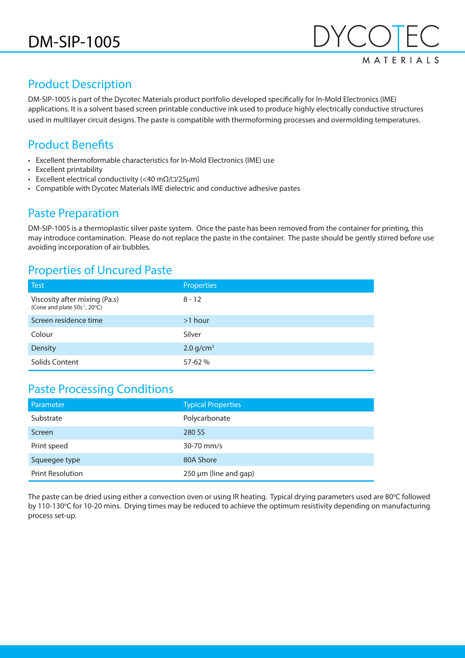

### Product Description

DM-SIP-1005 is part of the Dycotec Materials product portfolio developed specifically for In-Mold Electronics (IME) applications. It is a solvent based screen printable conductive ink used to produce highly electrically conductive structures used in multilayer circuit designs. The paste is compatible with thermoforming processes and overmolding temperatures.

## Product Benefits

- Excellent thermoformable characteristics for In-Mold Electronics (IME) use
- Excellent printability
- Excellent electrical conductivity (<40 m $\Omega$ / $\square$ /25µm)
- Compatible with Dycotec Materials IME dielectric and conductive adhesive pastes

#### Paste Preparation

DM-SIP-1005 is a thermoplastic silver paste system. Once the paste has been removed from the container for printing, this may introduce contamination. Please do not replace the paste in the container. The paste should be gently stirred before use avoiding incorporation of air bubbles.

#### Properties of Uncured Paste

| <b>Test</b>                                                                | <b>Properties</b> |
|----------------------------------------------------------------------------|-------------------|
| Viscosity after mixing (Pa.s)<br>(Cone and plate 50s <sup>-1</sup> , 20°C) | $8 - 12$          |
| Screen residence time                                                      | $>1$ hour         |
| Colour                                                                     | Silver            |
| Density                                                                    | 2.0 $q/cm3$       |
| Solids Content                                                             | 57-62 %           |

## Paste Processing Conditions

| Parameter               | <b>Typical Properties</b>  |
|-------------------------|----------------------------|
| Substrate               | Polycarbonate              |
| Screen                  | 280 SS                     |
| Print speed             | 30-70 mm/s                 |
| Squeegee type           | 80A Shore                  |
| <b>Print Resolution</b> | $250 \mu m$ (line and gap) |

The paste can be dried using either a convection oven or using IR heating. Typical drying parameters used are 80°C followed by 110-130°C for 10-20 mins. Drying times may be reduced to achieve the optimum resistivity depending on manufacturing process set-up.